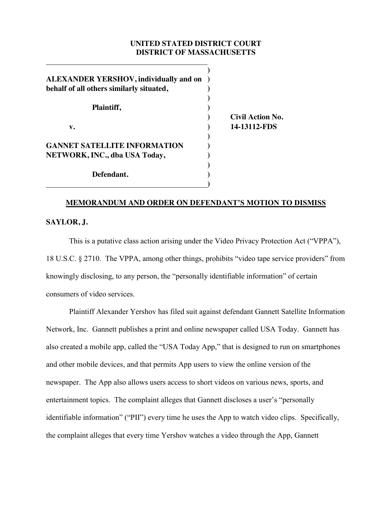# **UNITED STATED DISTRICT COURT DISTRICT OF MASSACHUSETTS**

| <b>ALEXANDER YERSHOV, individually and on</b><br>behalf of all others similarly situated, |  |
|-------------------------------------------------------------------------------------------|--|
| Plaintiff,                                                                                |  |
| $\mathbf{v}$ .                                                                            |  |
| <b>GANNET SATELLITE INFORMATION</b>                                                       |  |
| NETWORK, INC., dba USA Today,                                                             |  |
| Defendant.                                                                                |  |

**) Civil Action No. v. ) 14-13112-FDS**

### **MEMORANDUM AND ORDER ON DEFENDANT'S MOTION TO DISMISS**

### **SAYLOR, J.**

This is a putative class action arising under the Video Privacy Protection Act ("VPPA"), 18 U.S.C. § 2710. The VPPA, among other things, prohibits "video tape service providers" from knowingly disclosing, to any person, the "personally identifiable information" of certain consumers of video services.

Plaintiff Alexander Yershov has filed suit against defendant Gannett Satellite Information Network, Inc. Gannett publishes a print and online newspaper called USA Today. Gannett has also created a mobile app, called the "USA Today App," that is designed to run on smartphones and other mobile devices, and that permits App users to view the online version of the newspaper. The App also allows users access to short videos on various news, sports, and entertainment topics. The complaint alleges that Gannett discloses a user's "personally identifiable information" ("PII") every time he uses the App to watch video clips. Specifically, the complaint alleges that every time Yershov watches a video through the App, Gannett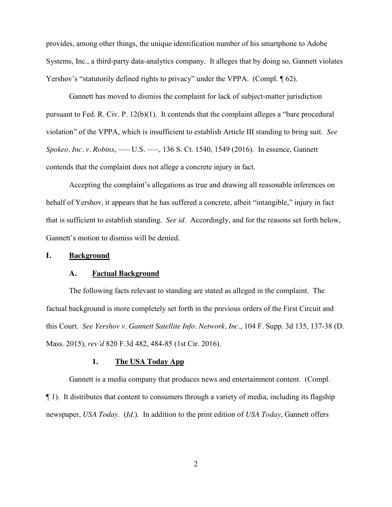provides, among other things, the unique identification number of his smartphone to Adobe Systems, Inc., a third-party data-analytics company. It alleges that by doing so, Gannett violates Yershov's "statutorily defined rights to privacy" under the VPPA. (Compl. 162).

Gannett has moved to dismiss the complaint for lack of subject-matter jurisdiction pursuant to Fed. R. Civ. P. 12(b)(1). It contends that the complaint alleges a "bare procedural violation" of the VPPA, which is insufficient to establish Article III standing to bring suit. *See Spokeo, Inc. v. Robins, —— U.S. ——, 136 S. Ct. 1540, 1549 (2016). In essence, Gannett* contends that the complaint does not allege a concrete injury in fact.

Accepting the complaint's allegations as true and drawing all reasonable inferences on behalf of Yershov, it appears that he has suffered a concrete, albeit "intangible," injury in fact that is sufficient to establish standing. *See id.* Accordingly, and for the reasons set forth below, Gannett's motion to dismiss will be denied.

### **I. Background**

### **A. Factual Background**

The following facts relevant to standing are stated as alleged in the complaint. The factual background is more completely set forth in the previous orders of the First Circuit and this Court. *See Yershov v. Gannett Satellite Info. Network, Inc.*, 104 F. Supp. 3d 135, 137-38 (D. Mass. 2015), *rev'd* 820 F.3d 482, 484-85 (1st Cir. 2016).

#### **1. The USA Today App**

Gannett is a media company that produces news and entertainment content. (Compl. ¶ 1). It distributes that content to consumers through a variety of media, including its flagship newspaper, *USA Today*. (*Id.*). In addition to the print edition of *USA Today*, Gannett offers

2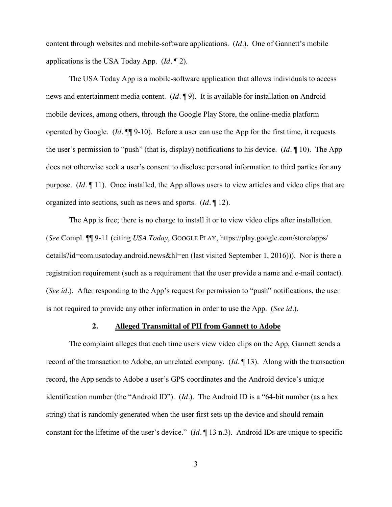content through websites and mobile-software applications. (*Id.*). One of Gannett's mobile applications is the USA Today App. (*Id.* ¶ 2).

The USA Today App is a mobile-software application that allows individuals to access news and entertainment media content. (*Id.* ¶ 9). It is available for installation on Android mobile devices, among others, through the Google Play Store, the online-media platform operated by Google. (*Id.* ¶¶ 9-10). Before a user can use the App for the first time, it requests the user's permission to "push" (that is, display) notifications to his device. (*Id.* ¶ 10). The App does not otherwise seek a user's consent to disclose personal information to third parties for any purpose. (*Id.* ¶ 11). Once installed, the App allows users to view articles and video clips that are organized into sections, such as news and sports. (*Id.* ¶ 12).

The App is free; there is no charge to install it or to view video clips after installation. (*See* Compl. ¶¶ 9-11 (citing *USA Today*, GOOGLE PLAY, https://play.google.com/store/apps/ details?id=com.usatoday.android.news&hl=en (last visited September 1, 2016))). Nor is there a registration requirement (such as a requirement that the user provide a name and e-mail contact). (*See id.*). After responding to the App's request for permission to "push" notifications, the user is not required to provide any other information in order to use the App. (*See id.*).

### **2. Alleged Transmittal of PII from Gannett to Adobe**

The complaint alleges that each time users view video clips on the App, Gannett sends a record of the transaction to Adobe, an unrelated company. (*Id.* ¶ 13). Along with the transaction record, the App sends to Adobe a user's GPS coordinates and the Android device's unique identification number (the "Android ID"). (*Id.*). The Android ID is a "64-bit number (as a hex string) that is randomly generated when the user first sets up the device and should remain constant for the lifetime of the user's device." (*Id.* ¶ 13 n.3). Android IDs are unique to specific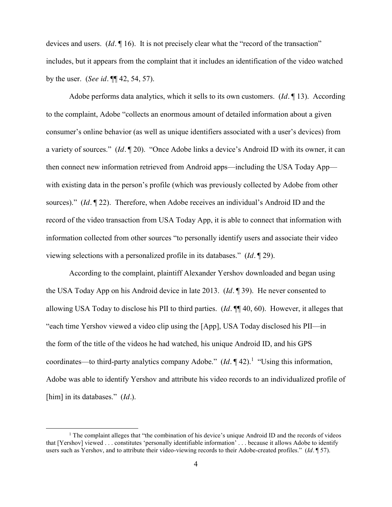devices and users. (*Id.* 16). It is not precisely clear what the "record of the transaction" includes, but it appears from the complaint that it includes an identification of the video watched by the user. (*See id.* ¶¶ 42, 54, 57).

Adobe performs data analytics, which it sells to its own customers. (*Id.* ¶ 13). According to the complaint, Adobe "collects an enormous amount of detailed information about a given consumer's online behavior (as well as unique identifiers associated with a user's devices) from a variety of sources." (*Id.* ¶ 20). "Once Adobe links a device's Android ID with its owner, it can then connect new information retrieved from Android apps—including the USA Today App with existing data in the person's profile (which was previously collected by Adobe from other sources)." (*Id.* ¶ 22). Therefore, when Adobe receives an individual's Android ID and the record of the video transaction from USA Today App, it is able to connect that information with information collected from other sources "to personally identify users and associate their video viewing selections with a personalized profile in its databases." (*Id.* ¶ 29).

According to the complaint, plaintiff Alexander Yershov downloaded and began using the USA Today App on his Android device in late 2013. (*Id.* ¶ 39). He never consented to allowing USA Today to disclose his PII to third parties. (*Id.* ¶¶ 40, 60). However, it alleges that "each time Yershov viewed a video clip using the [App], USA Today disclosed his PII––in the form of the title of the videos he had watched, his unique Android ID, and his GPS coordinates—to third-party analytics company Adobe." (*Id.* 142).<sup>1</sup> "Using this information, Adobe was able to identify Yershov and attribute his video records to an individualized profile of [him] in its databases." (*Id.*).

 $\overline{a}$ 

<sup>&</sup>lt;sup>1</sup> The complaint alleges that "the combination of his device's unique Android ID and the records of videos that [Yershov] viewed . . . constitutes 'personally identifiable information' . . . because it allows Adobe to identify users such as Yershov, and to attribute their video-viewing records to their Adobe-created profiles." (*Id.* ¶ 57).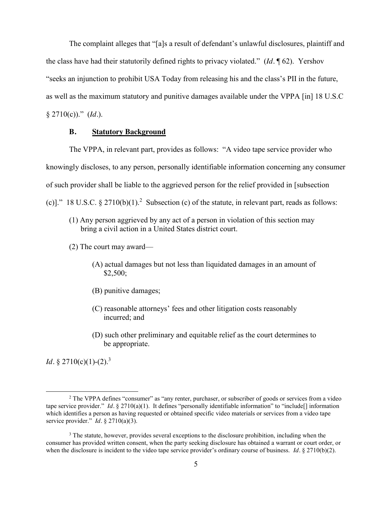The complaint alleges that "[a]s a result of defendant's unlawful disclosures, plaintiff and the class have had their statutorily defined rights to privacy violated." (*Id.* ¶ 62). Yershov "seeks an injunction to prohibit USA Today from releasing his and the class's PII in the future, as well as the maximum statutory and punitive damages available under the VPPA [in] 18 U.S.C § 2710(c))." (*Id.*).

### **B. Statutory Background**

The VPPA, in relevant part, provides as follows: "A video tape service provider who knowingly discloses, to any person, personally identifiable information concerning any consumer of such provider shall be liable to the aggrieved person for the relief provided in [subsection

(c)]." 18 U.S.C.  $\S 2710(b)(1)$ .<sup>2</sup> Subsection (c) of the statute, in relevant part, reads as follows:

- (1) Any person aggrieved by any act of a person in violation of this section may bring a civil action in a United States district court.
- (2) The court may award—
	- (A) actual damages but not less than liquidated damages in an amount of \$2,500;
	- (B) punitive damages;
	- (C) reasonable attorneys' fees and other litigation costs reasonably incurred; and
	- (D) such other preliminary and equitable relief as the court determines to be appropriate.

*Id.* § 2710(c)(1)-(2).<sup>3</sup>

 $\overline{\phantom{a}}$ 

<sup>&</sup>lt;sup>2</sup> The VPPA defines "consumer" as "any renter, purchaser, or subscriber of goods or services from a video tape service provider." *Id.* § 2710(a)(1). It defines "personally identifiable information" to "include[] information which identifies a person as having requested or obtained specific video materials or services from a video tape service provider." *Id.* § 2710(a)(3).

<sup>&</sup>lt;sup>3</sup> The statute, however, provides several exceptions to the disclosure prohibition, including when the consumer has provided written consent, when the party seeking disclosure has obtained a warrant or court order, or when the disclosure is incident to the video tape service provider's ordinary course of business. *Id.* § 2710(b)(2).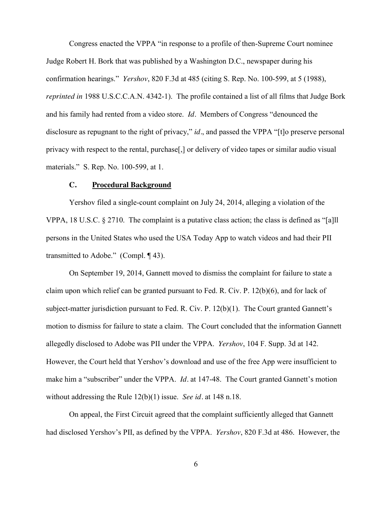Congress enacted the VPPA "in response to a profile of then-Supreme Court nominee Judge Robert H. Bork that was published by a Washington D.C., newspaper during his confirmation hearings." *Yershov*, 820 F.3d at 485 (citing S. Rep. No. 100-599, at 5 (1988), *reprinted in* 1988 U.S.C.C.A.N. 4342-1). The profile contained a list of all films that Judge Bork and his family had rented from a video store. *Id.* Members of Congress "denounced the disclosure as repugnant to the right of privacy," *id.*, and passed the VPPA "[t]o preserve personal privacy with respect to the rental, purchase[,] or delivery of video tapes or similar audio visual materials." S. Rep. No. 100-599, at 1.

### **C. Procedural Background**

Yershov filed a single-count complaint on July 24, 2014, alleging a violation of the VPPA, 18 U.S.C. § 2710. The complaint is a putative class action; the class is defined as "[a]ll persons in the United States who used the USA Today App to watch videos and had their PII transmitted to Adobe." (Compl. ¶ 43).

On September 19, 2014, Gannett moved to dismiss the complaint for failure to state a claim upon which relief can be granted pursuant to Fed. R. Civ. P. 12(b)(6), and for lack of subject-matter jurisdiction pursuant to Fed. R. Civ. P. 12(b)(1). The Court granted Gannett's motion to dismiss for failure to state a claim. The Court concluded that the information Gannett allegedly disclosed to Adobe was PII under the VPPA. *Yershov*, 104 F. Supp. 3d at 142. However, the Court held that Yershov's download and use of the free App were insufficient to make him a "subscriber" under the VPPA. *Id.* at 147-48. The Court granted Gannett's motion without addressing the Rule 12(b)(1) issue. *See id.* at 148 n.18.

On appeal, the First Circuit agreed that the complaint sufficiently alleged that Gannett had disclosed Yershov's PII, as defined by the VPPA. *Yershov*, 820 F.3d at 486. However, the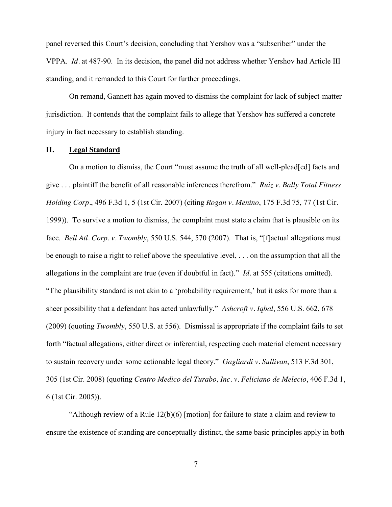panel reversed this Court's decision, concluding that Yershov was a "subscriber" under the VPPA. *Id.* at 487-90. In its decision, the panel did not address whether Yershov had Article III standing, and it remanded to this Court for further proceedings.

On remand, Gannett has again moved to dismiss the complaint for lack of subject-matter jurisdiction. It contends that the complaint fails to allege that Yershov has suffered a concrete injury in fact necessary to establish standing.

### **II. Legal Standard**

On a motion to dismiss, the Court "must assume the truth of all well-plead[ed] facts and give . . . plaintiff the benefit of all reasonable inferences therefrom." *Ruiz v. Bally Total Fitness Holding Corp.*, 496 F.3d 1, 5 (1st Cir. 2007) (citing *Rogan v. Menino*, 175 F.3d 75, 77 (1st Cir. 1999)). To survive a motion to dismiss, the complaint must state a claim that is plausible on its face. *Bell Atl. Corp. v. Twombly*, 550 U.S. 544, 570 (2007). That is, "[f]actual allegations must be enough to raise a right to relief above the speculative level, . . . on the assumption that all the allegations in the complaint are true (even if doubtful in fact)." *Id.* at 555 (citations omitted). "The plausibility standard is not akin to a 'probability requirement,' but it asks for more than a sheer possibility that a defendant has acted unlawfully." *Ashcroft v. Iqbal*, 556 U.S. 662, 678 (2009) (quoting *Twombly*, 550 U.S. at 556). Dismissal is appropriate if the complaint fails to set forth "factual allegations, either direct or inferential, respecting each material element necessary to sustain recovery under some actionable legal theory." *Gagliardi v. Sullivan*, 513 F.3d 301, 305 (1st Cir. 2008) (quoting *Centro Medico del Turabo, Inc. v. Feliciano de Melecio*, 406 F.3d 1, 6 (1st Cir. 2005)).

"Although review of a Rule  $12(b)(6)$  [motion] for failure to state a claim and review to ensure the existence of standing are conceptually distinct, the same basic principles apply in both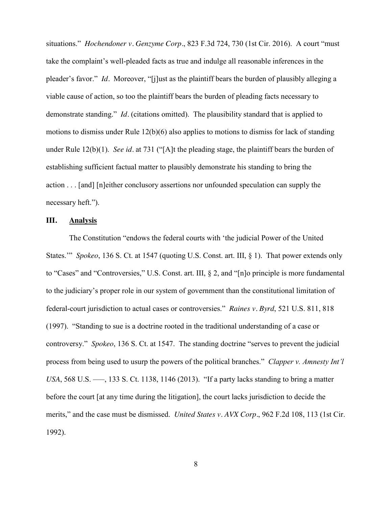situations." *Hochendoner v. Genzyme Corp.*, 823 F.3d 724, 730 (1st Cir. 2016). A court "must take the complaint's well-pleaded facts as true and indulge all reasonable inferences in the pleader's favor." *Id.* Moreover, "[j]ust as the plaintiff bears the burden of plausibly alleging a viable cause of action, so too the plaintiff bears the burden of pleading facts necessary to demonstrate standing." *Id.* (citations omitted). The plausibility standard that is applied to motions to dismiss under Rule 12(b)(6) also applies to motions to dismiss for lack of standing under Rule 12(b)(1). *See id.* at 731 ("[A]t the pleading stage, the plaintiff bears the burden of establishing sufficient factual matter to plausibly demonstrate his standing to bring the action . . . [and] [n]either conclusory assertions nor unfounded speculation can supply the necessary heft.").

### **III. Analysis**

The Constitution "endows the federal courts with 'the judicial Power of the United States.'" *Spokeo*, 136 S. Ct. at 1547 (quoting U.S. Const. art. III, § 1). That power extends only to "Cases" and "Controversies," U.S. Const. art. III, § 2, and "[n]o principle is more fundamental to the judiciary's proper role in our system of government than the constitutional limitation of federal-court jurisdiction to actual cases or controversies." *Raines v. Byrd*, 521 U.S. 811, 818 (1997). "Standing to sue is a doctrine rooted in the traditional understanding of a case or controversy." *Spokeo*, 136 S. Ct. at 1547. The standing doctrine "serves to prevent the judicial process from being used to usurp the powers of the political branches." *Clapper v. Amnesty Int'l USA*, 568 U.S. —–, 133 S. Ct. 1138, 1146 (2013). "If a party lacks standing to bring a matter before the court [at any time during the litigation], the court lacks jurisdiction to decide the merits," and the case must be dismissed. *United States v. AVX Corp.*, 962 F.2d 108, 113 (1st Cir. 1992).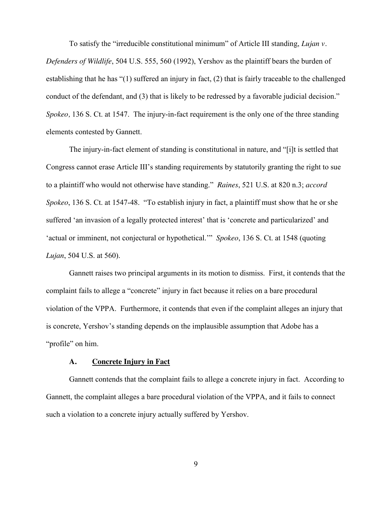To satisfy the "irreducible constitutional minimum" of Article III standing, *Lujan v. Defenders of Wildlife*, 504 U.S. 555, 560 (1992), Yershov as the plaintiff bears the burden of establishing that he has "(1) suffered an injury in fact, (2) that is fairly traceable to the challenged conduct of the defendant, and (3) that is likely to be redressed by a favorable judicial decision." *Spokeo,* 136 S. Ct. at 1547. The injury-in-fact requirement is the only one of the three standing elements contested by Gannett.

The injury-in-fact element of standing is constitutional in nature, and "[i]t is settled that Congress cannot erase Article III's standing requirements by statutorily granting the right to sue to a plaintiff who would not otherwise have standing." *Raines*, 521 U.S. at 820 n.3; *accord Spokeo*, 136 S. Ct. at 1547-48. "To establish injury in fact, a plaintiff must show that he or she suffered 'an invasion of a legally protected interest' that is 'concrete and particularized' and 'actual or imminent, not conjectural or hypothetical.'" *Spokeo*, 136 S. Ct. at 1548 (quoting *Lujan*, 504 U.S. at 560).

Gannett raises two principal arguments in its motion to dismiss. First, it contends that the complaint fails to allege a "concrete" injury in fact because it relies on a bare procedural violation of the VPPA. Furthermore, it contends that even if the complaint alleges an injury that is concrete, Yershov's standing depends on the implausible assumption that Adobe has a "profile" on him.

#### **A. Concrete Injury in Fact**

Gannett contends that the complaint fails to allege a concrete injury in fact. According to Gannett, the complaint alleges a bare procedural violation of the VPPA, and it fails to connect such a violation to a concrete injury actually suffered by Yershov.

9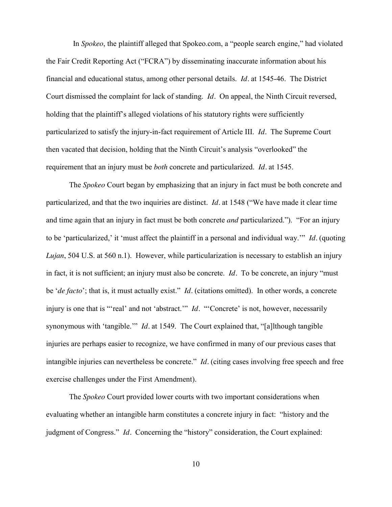In *Spokeo*, the plaintiff alleged that Spokeo.com, a "people search engine," had violated the Fair Credit Reporting Act ("FCRA") by disseminating inaccurate information about his financial and educational status, among other personal details. *Id.* at 1545-46. The District Court dismissed the complaint for lack of standing. *Id.* On appeal, the Ninth Circuit reversed, holding that the plaintiff's alleged violations of his statutory rights were sufficiently particularized to satisfy the injury-in-fact requirement of Article III. *Id.* The Supreme Court then vacated that decision, holding that the Ninth Circuit's analysis "overlooked" the requirement that an injury must be *both* concrete and particularized. *Id.* at 1545.

The *Spokeo* Court began by emphasizing that an injury in fact must be both concrete and particularized, and that the two inquiries are distinct. *Id.* at 1548 ("We have made it clear time and time again that an injury in fact must be both concrete *and* particularized."). "For an injury to be 'particularized,' it 'must affect the plaintiff in a personal and individual way.'" *Id.* (quoting *Lujan*, 504 U.S. at 560 n.1). However, while particularization is necessary to establish an injury in fact, it is not sufficient; an injury must also be concrete. *Id.* To be concrete, an injury "must be '*de facto*'; that is, it must actually exist." *Id.* (citations omitted). In other words, a concrete injury is one that is "'real' and not 'abstract.'" *Id.* "'Concrete' is not, however, necessarily synonymous with 'tangible.'" *Id.* at 1549. The Court explained that, "[a]lthough tangible injuries are perhaps easier to recognize, we have confirmed in many of our previous cases that intangible injuries can nevertheless be concrete." *Id.* (citing cases involving free speech and free exercise challenges under the First Amendment).

The *Spokeo* Court provided lower courts with two important considerations when evaluating whether an intangible harm constitutes a concrete injury in fact: "history and the judgment of Congress." *Id.* Concerning the "history" consideration, the Court explained: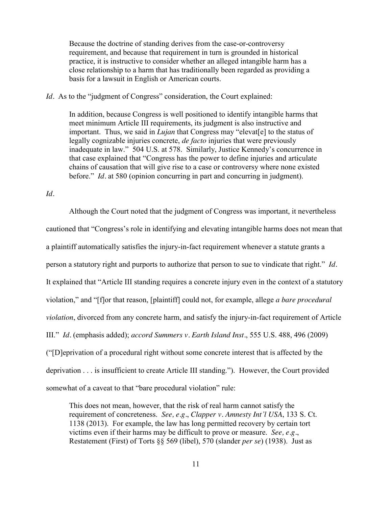Because the doctrine of standing derives from the case-or-controversy requirement, and because that requirement in turn is grounded in historical practice, it is instructive to consider whether an alleged intangible harm has a close relationship to a harm that has traditionally been regarded as providing a basis for a lawsuit in English or American courts.

### *Id.* As to the "judgment of Congress" consideration, the Court explained:

In addition, because Congress is well positioned to identify intangible harms that meet minimum Article III requirements, its judgment is also instructive and important. Thus, we said in *Lujan* that Congress may "elevat[e] to the status of legally cognizable injuries concrete, *de facto* injuries that were previously inadequate in law." 504 U.S. at 578. Similarly, Justice Kennedy's concurrence in that case explained that "Congress has the power to define injuries and articulate chains of causation that will give rise to a case or controversy where none existed before." *Id.* at 580 (opinion concurring in part and concurring in judgment).

*Id.*

Although the Court noted that the judgment of Congress was important, it nevertheless cautioned that "Congress's role in identifying and elevating intangible harms does not mean that a plaintiff automatically satisfies the injury-in-fact requirement whenever a statute grants a person a statutory right and purports to authorize that person to sue to vindicate that right." *Id.* It explained that "Article III standing requires a concrete injury even in the context of a statutory violation," and "[f]or that reason, [plaintiff] could not, for example, allege *a bare procedural violation*, divorced from any concrete harm, and satisfy the injury-in-fact requirement of Article III." *Id.* (emphasis added); *accord Summers v. Earth Island Inst.*, 555 U.S. 488, 496 (2009) ("[D]eprivation of a procedural right without some concrete interest that is affected by the deprivation . . . is insufficient to create Article III standing."). However, the Court provided somewhat of a caveat to that "bare procedural violation" rule:

This does not mean, however, that the risk of real harm cannot satisfy the requirement of concreteness. *See, e.g.*, *Clapper v. Amnesty Int'l USA*, 133 S. Ct. 1138 (2013). For example, the law has long permitted recovery by certain tort victims even if their harms may be difficult to prove or measure. *See, e.g.*, Restatement (First) of Torts §§ 569 (libel), 570 (slander *per se*) (1938). Just as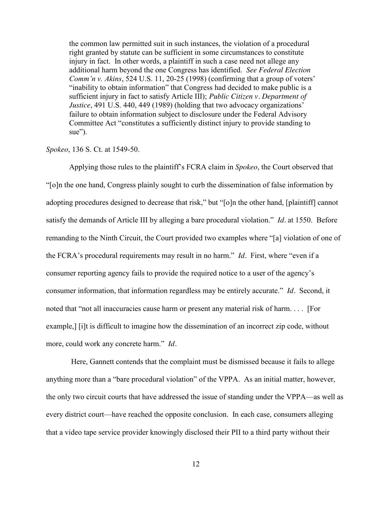the common law permitted suit in such instances, the violation of a procedural right granted by statute can be sufficient in some circumstances to constitute injury in fact. In other words, a plaintiff in such a case need not allege any additional harm beyond the one Congress has identified. *See Federal Election Comm'n v. Akins*, 524 U.S. 11, 20-25 (1998) (confirming that a group of voters' "inability to obtain information" that Congress had decided to make public is a sufficient injury in fact to satisfy Article III); *Public Citizen v. Department of Justice*, 491 U.S. 440, 449 (1989) (holding that two advocacy organizations' failure to obtain information subject to disclosure under the Federal Advisory Committee Act "constitutes a sufficiently distinct injury to provide standing to sue").

### *Spokeo*, 136 S. Ct. at 1549-50.

Applying those rules to the plaintiff's FCRA claim in *Spokeo*, the Court observed that "[o]n the one hand, Congress plainly sought to curb the dissemination of false information by adopting procedures designed to decrease that risk," but "[o]n the other hand, [plaintiff] cannot satisfy the demands of Article III by alleging a bare procedural violation." *Id.* at 1550. Before remanding to the Ninth Circuit, the Court provided two examples where "[a] violation of one of the FCRA's procedural requirements may result in no harm." *Id.* First, where "even if a consumer reporting agency fails to provide the required notice to a user of the agency's consumer information, that information regardless may be entirely accurate." *Id.* Second, it noted that "not all inaccuracies cause harm or present any material risk of harm. . . . [For example,  $\lceil i \rceil$  is difficult to imagine how the dissemination of an incorrect zip code, without more, could work any concrete harm." *Id.* 

Here, Gannett contends that the complaint must be dismissed because it fails to allege anything more than a "bare procedural violation" of the VPPA. As an initial matter, however, the only two circuit courts that have addressed the issue of standing under the VPPA––as well as every district court––have reached the opposite conclusion. In each case, consumers alleging that a video tape service provider knowingly disclosed their PII to a third party without their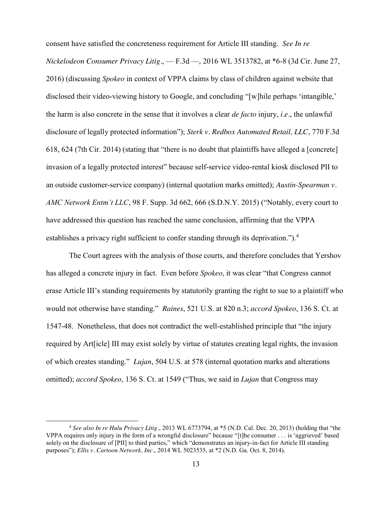consent have satisfied the concreteness requirement for Article III standing. *See In re Nickelodeon Consumer Privacy Litig.*, — F.3d —, 2016 WL 3513782, at \*6-8 (3d Cir. June 27, 2016) (discussing *Spokeo* in context of VPPA claims by class of children against website that disclosed their video-viewing history to Google, and concluding "[w]hile perhaps 'intangible,' the harm is also concrete in the sense that it involves a clear *de facto* injury, *i.e.*, the unlawful disclosure of legally protected information"); *Sterk v. Redbox Automated Retail, LLC*, 770 F.3d 618, 624 (7th Cir. 2014) (stating that "there is no doubt that plaintiffs have alleged a [concrete] invasion of a legally protected interest" because self-service video-rental kiosk disclosed PII to an outside customer-service company) (internal quotation marks omitted); *Austin-Spearman v. AMC Network Entm't LLC*, 98 F. Supp. 3d 662, 666 (S.D.N.Y. 2015) ("Notably, every court to have addressed this question has reached the same conclusion, affirming that the VPPA establishes a privacy right sufficient to confer standing through its deprivation.").<sup>4</sup>

The Court agrees with the analysis of those courts, and therefore concludes that Yershov has alleged a concrete injury in fact. Even before *Spokeo*, it was clear "that Congress cannot erase Article III's standing requirements by statutorily granting the right to sue to a plaintiff who would not otherwise have standing." *Raines*, 521 U.S. at 820 n.3; *accord Spokeo*, 136 S. Ct. at 1547-48. Nonetheless, that does not contradict the well-established principle that "the injury required by Art[icle] III may exist solely by virtue of statutes creating legal rights, the invasion of which creates standing." *Lujan*, 504 U.S. at 578 (internal quotation marks and alterations omitted); *accord Spokeo*, 136 S. Ct. at 1549 ("Thus, we said in *Lujan* that Congress may

l

<sup>4</sup> *See also In re Hulu Privacy Litig.*, 2013 WL 6773794, at \*5 (N.D. Cal. Dec. 20, 2013) (holding that "the VPPA requires only injury in the form of a wrongful disclosure" because "[t]he consumer . . . is 'aggrieved' based solely on the disclosure of [PII] to third parties," which "demonstrates an injury-in-fact for Article III standing purposes"); *Ellis v. Cartoon Network, Inc.*, 2014 WL 5023535, at \*2 (N.D. Ga. Oct. 8, 2014).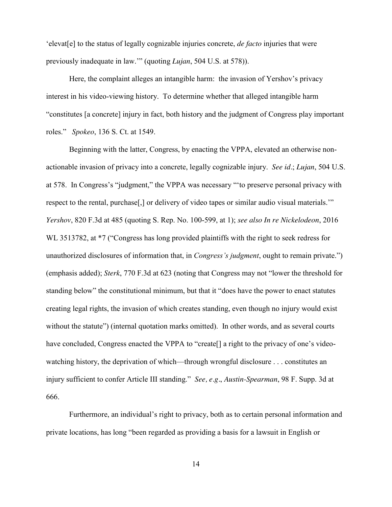'elevat[e] to the status of legally cognizable injuries concrete, *de facto* injuries that were previously inadequate in law.'" (quoting *Lujan*, 504 U.S. at 578)).

Here, the complaint alleges an intangible harm: the invasion of Yershov's privacy interest in his video-viewing history. To determine whether that alleged intangible harm "constitutes [a concrete] injury in fact, both history and the judgment of Congress play important roles." *Spokeo*, 136 S. Ct. at 1549.

Beginning with the latter, Congress, by enacting the VPPA, elevated an otherwise nonactionable invasion of privacy into a concrete, legally cognizable injury. *See id.*; *Lujan*, 504 U.S. at 578. In Congress's "judgment," the VPPA was necessary "'to preserve personal privacy with respect to the rental, purchase[,] or delivery of video tapes or similar audio visual materials.'" *Yershov*, 820 F.3d at 485 (quoting S. Rep. No. 100-599, at 1); *see also In re Nickelodeon*, 2016 WL 3513782, at  $*7$  ("Congress has long provided plaintiffs with the right to seek redress for unauthorized disclosures of information that, in *Congress's judgment*, ought to remain private.") (emphasis added); *Sterk*, 770 F.3d at 623 (noting that Congress may not "lower the threshold for standing below" the constitutional minimum, but that it "does have the power to enact statutes creating legal rights, the invasion of which creates standing, even though no injury would exist without the statute") (internal quotation marks omitted). In other words, and as several courts have concluded, Congress enacted the VPPA to "create<sup>[]</sup> a right to the privacy of one's videowatching history, the deprivation of which—through wrongful disclosure . . . constitutes an injury sufficient to confer Article III standing." *See, e.g.*, *Austin-Spearman*, 98 F. Supp. 3d at 666.

Furthermore, an individual's right to privacy, both as to certain personal information and private locations, has long "been regarded as providing a basis for a lawsuit in English or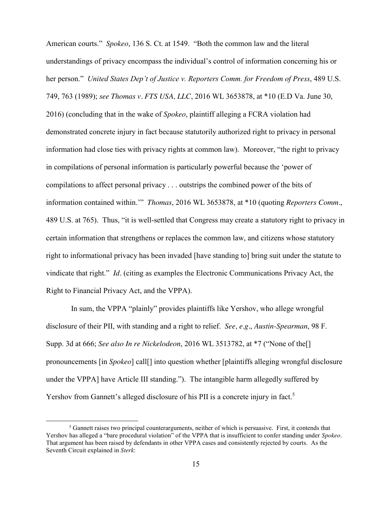American courts." *Spokeo*, 136 S. Ct. at 1549. "Both the common law and the literal understandings of privacy encompass the individual's control of information concerning his or her person." *United States Dep't of Justice v. Reporters Comm. for Freedom of Press*, 489 U.S. 749, 763 (1989); *see Thomas v. FTS USA, LLC*, 2016 WL 3653878, at \*10 (E.D Va. June 30, 2016) (concluding that in the wake of *Spokeo*, plaintiff alleging a FCRA violation had demonstrated concrete injury in fact because statutorily authorized right to privacy in personal information had close ties with privacy rights at common law). Moreover, "the right to privacy in compilations of personal information is particularly powerful because the 'power of compilations to affect personal privacy . . . outstrips the combined power of the bits of information contained within.'" *Thomas*, 2016 WL 3653878, at \*10 (quoting *Reporters Comm.*, 489 U.S. at 765). Thus, "it is well-settled that Congress may create a statutory right to privacy in certain information that strengthens or replaces the common law, and citizens whose statutory right to informational privacy has been invaded [have standing to] bring suit under the statute to vindicate that right." *Id.* (citing as examples the Electronic Communications Privacy Act, the Right to Financial Privacy Act, and the VPPA).

In sum, the VPPA "plainly" provides plaintiffs like Yershov, who allege wrongful disclosure of their PII, with standing and a right to relief. *See, e.g.*, *Austin-Spearman*, 98 F. Supp. 3d at 666; *See also In re Nickelodeon*, 2016 WL 3513782, at \*7 ("None of the[] pronouncements [in *Spokeo*] call[] into question whether [plaintiffs alleging wrongful disclosure under the VPPA] have Article III standing."). The intangible harm allegedly suffered by Yershov from Gannett's alleged disclosure of his PII is a concrete injury in fact.<sup>5</sup>

l

<sup>5</sup> Gannett raises two principal counterarguments, neither of which is persuasive. First, it contends that Yershov has alleged a "bare procedural violation" of the VPPA that is insufficient to confer standing under *Spokeo*. That argument has been raised by defendants in other VPPA cases and consistently rejected by courts. As the Seventh Circuit explained in *Sterk*: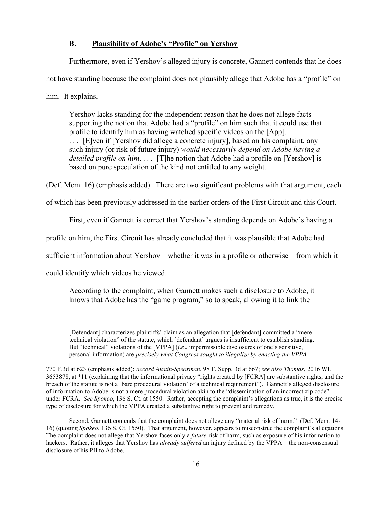## **B. Plausibility of Adobe's "Profile" on Yershov**

Furthermore, even if Yershov's alleged injury is concrete, Gannett contends that he does not have standing because the complaint does not plausibly allege that Adobe has a "profile" on him. It explains,

Yershov lacks standing for the independent reason that he does not allege facts supporting the notion that Adobe had a "profile" on him such that it could use that profile to identify him as having watched specific videos on the [App]. . . . [E]ven if [Yershov did allege a concrete injury], based on his complaint, any such injury (or risk of future injury) *would necessarily depend on Adobe having a detailed profile on him.* . . . [T]he notion that Adobe had a profile on [Yershov] is based on pure speculation of the kind not entitled to any weight.

(Def. Mem. 16) (emphasis added). There are two significant problems with that argument, each

of which has been previously addressed in the earlier orders of the First Circuit and this Court.

First, even if Gannett is correct that Yershov's standing depends on Adobe's having a

profile on him, the First Circuit has already concluded that it was plausible that Adobe had

sufficient information about Yershov—whether it was in a profile or otherwise—from which it

could identify which videos he viewed.

 $\overline{\phantom{a}}$ 

According to the complaint, when Gannett makes such a disclosure to Adobe, it knows that Adobe has the "game program," so to speak, allowing it to link the

<sup>[</sup>Defendant] characterizes plaintiffs' claim as an allegation that [defendant] committed a "mere technical violation" of the statute, which [defendant] argues is insufficient to establish standing. But "technical" violations of the [VPPA] (*i.e.*, impermissible disclosures of one's sensitive, personal information) are *precisely what Congress sought to illegalize by enacting the VPPA*.

<sup>770</sup> F.3d at 623 (emphasis added); *accord Austin-Spearman*, 98 F. Supp. 3d at 667; *see also Thomas*, 2016 WL 3653878, at \*11 (explaining that the informational privacy "rights created by [FCRA] are substantive rights, and the breach of the statute is not a 'bare procedural violation' of a technical requirement"). Gannett's alleged disclosure of information to Adobe is not a mere procedural violation akin to the "dissemination of an incorrect zip code" under FCRA. *See Spokeo*, 136 S. Ct. at 1550. Rather, accepting the complaint's allegations as true, it is the precise type of disclosure for which the VPPA created a substantive right to prevent and remedy.

Second, Gannett contends that the complaint does not allege any "material risk of harm." (Def. Mem. 14- 16) (quoting *Spokeo*, 136 S. Ct. 1550). That argument, however, appears to misconstrue the complaint's allegations. The complaint does not allege that Yershov faces only a *future* risk of harm, such as exposure of his information to hackers. Rather, it alleges that Yershov has *already suffered* an injury defined by the VPPA—the non-consensual disclosure of his PII to Adobe.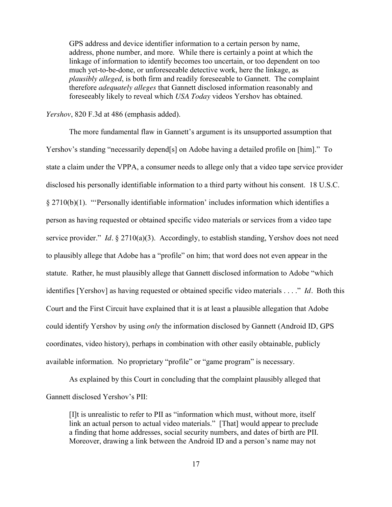GPS address and device identifier information to a certain person by name, address, phone number, and more. While there is certainly a point at which the linkage of information to identify becomes too uncertain, or too dependent on too much yet-to-be-done, or unforeseeable detective work, here the linkage, as *plausibly alleged*, is both firm and readily foreseeable to Gannett. The complaint therefore *adequately alleges* that Gannett disclosed information reasonably and foreseeably likely to reveal which *USA Today* videos Yershov has obtained.

*Yershov*, 820 F.3d at 486 (emphasis added).

The more fundamental flaw in Gannett's argument is its unsupported assumption that Yershov's standing "necessarily depend[s] on Adobe having a detailed profile on [him]." To state a claim under the VPPA, a consumer needs to allege only that a video tape service provider disclosed his personally identifiable information to a third party without his consent. 18 U.S.C. § 2710(b)(1). "'Personally identifiable information' includes information which identifies a person as having requested or obtained specific video materials or services from a video tape service provider." *Id.* § 2710(a)(3). Accordingly, to establish standing, Yershov does not need to plausibly allege that Adobe has a "profile" on him; that word does not even appear in the statute. Rather, he must plausibly allege that Gannett disclosed information to Adobe "which identifies [Yershov] as having requested or obtained specific video materials . . . ." *Id.* Both this Court and the First Circuit have explained that it is at least a plausible allegation that Adobe could identify Yershov by using *only* the information disclosed by Gannett (Android ID, GPS coordinates, video history), perhaps in combination with other easily obtainable, publicly available information. No proprietary "profile" or "game program" is necessary.

As explained by this Court in concluding that the complaint plausibly alleged that Gannett disclosed Yershov's PII:

[I]t is unrealistic to refer to PII as "information which must, without more, itself link an actual person to actual video materials." [That] would appear to preclude a finding that home addresses, social security numbers, and dates of birth are PII. Moreover, drawing a link between the Android ID and a person's name may not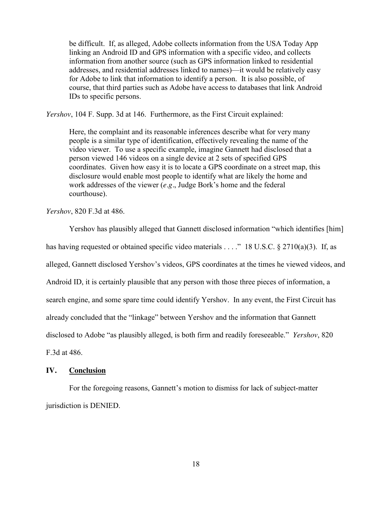be difficult. If, as alleged, Adobe collects information from the USA Today App linking an Android ID and GPS information with a specific video, and collects information from another source (such as GPS information linked to residential addresses, and residential addresses linked to names)—it would be relatively easy for Adobe to link that information to identify a person. It is also possible, of course, that third parties such as Adobe have access to databases that link Android IDs to specific persons.

*Yershov*, 104 F. Supp. 3d at 146. Furthermore, as the First Circuit explained:

Here, the complaint and its reasonable inferences describe what for very many people is a similar type of identification, effectively revealing the name of the video viewer. To use a specific example, imagine Gannett had disclosed that a person viewed 146 videos on a single device at 2 sets of specified GPS coordinates. Given how easy it is to locate a GPS coordinate on a street map, this disclosure would enable most people to identify what are likely the home and work addresses of the viewer (*e.g.*, Judge Bork's home and the federal courthouse).

*Yershov*, 820 F.3d at 486.

Yershov has plausibly alleged that Gannett disclosed information "which identifies [him] has having requested or obtained specific video materials . . . ." 18 U.S.C. § 2710(a)(3). If, as alleged, Gannett disclosed Yershov's videos, GPS coordinates at the times he viewed videos, and Android ID, it is certainly plausible that any person with those three pieces of information, a search engine, and some spare time could identify Yershov. In any event, the First Circuit has already concluded that the "linkage" between Yershov and the information that Gannett disclosed to Adobe "as plausibly alleged, is both firm and readily foreseeable." *Yershov*, 820 F.3d at 486.

#### **IV. Conclusion**

For the foregoing reasons, Gannett's motion to dismiss for lack of subject-matter jurisdiction is DENIED.